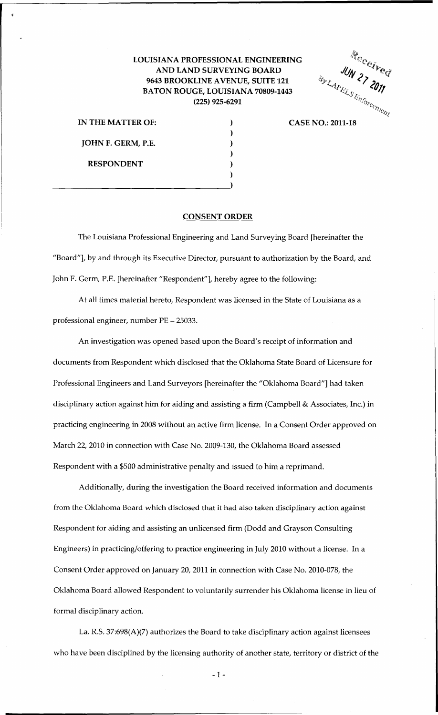## LOUISIANA PROFESSIONAL ENGINEERING AND LAND SURVEYING BOARD 9643 BROOKLINE AVENUE, SUITE 121 BATON ROUGE, LOUISIANA 70809-1443 (225) 925-6291

) ) ) ) ) )

ING<br>  $\frac{1}{3}$ <br>  $\frac{1}{3}$ <br>  $\frac{1}{3}$ <br>  $\frac{1}{3}$ <br>  $\frac{1}{3}$ <br>  $\frac{1}{3}$ <br>  $\frac{1}{3}$ <br>  $\frac{1}{3}$ <br>  $\frac{1}{3}$ <br>  $\frac{1}{3}$ <br>  $\frac{1}{3}$ <br>  $\frac{1}{3}$ <br>  $\frac{1}{3}$ <br>  $\frac{1}{3}$ <br>  $\frac{1}{3}$ <br>  $\frac{1}{3}$ <br>  $\frac{1}{3}$ <br>  $\frac{1}{3}$ <br>  $\frac{1}{3}$ <br>  $\frac{1}{3$ 

IN THE MATTER OF: JOHN F. GERM, P.E. RESPONDENT  $\frac{1}{2}$ 

## CONSENT ORDER

The Louisiana Professional Engineering and Land Surveying Board [hereinafter the "Board"], by and through its Executive Director, pursuant to authorization by the Board, and John F. Germ, P.E. [hereinafter "Respondent"], hereby agree to the following:

At all times material hereto, Respondent was licensed in the State of Louisiana as a professional engineer, number PE - 25033.

An investigation was opened based upon the Board's receipt of information and documents from Respondent which disclosed that the Oklahoma State Board of Licensure for Professional Engineers and Land Surveyors [hereinafter the "Oklahoma Board"] had taken disciplinary action against him for aiding and assisting a firm (Campbell & Associates, Inc.) in practicing engineering in 2008 without an active firm license. In a Consent Order approved on March 22, 2010 in connection with Case No. 2009-130, the Oklahoma Board assessed Respondent with a \$500 administrative penalty and issued to him a reprimand.

Additionally, during the investigation the Board received information and documents from the Oklahoma Board which disclosed that it had also taken disciplinary action against Respondent for aiding and assisting an unlicensed firm (Dodd and Grayson Consulting Engineers) in practicing/offering to practice engineering in July 2010 without a license. In a Consent Order approved on January 20, 2011 in connection with Case No. 2010-078, the Oklahoma Board allowed Respondent to voluntarily surrender his Oklahoma license in lieu of formal disciplinary action.

La. R.S. 37:698(A)(7) authorizes the Board to take disciplinary action against licensees who have been disciplined by the licensing authority of another state, territory or district of the

- 1 -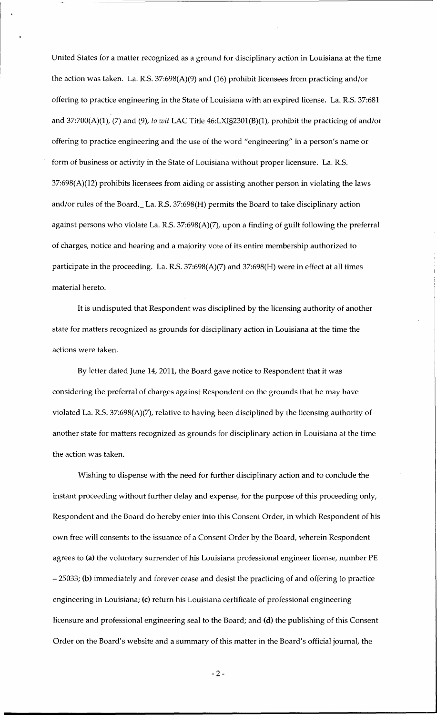United States for a matter recognized as a ground for disciplinary action in Louisiana at the time the action was taken. La. R.S. 37:698(A)(9) and (16) prohibit licensees from practicing and/or offering to practice engineering in the State of Louisiana with an expired license. La. R.S. 37:681 and 37:700(A)(1), (7) and (9), *to wit* LAC Title 46:LXI§2301(B)(l), prohibit the practicing of and/or offering to practice engineering and the use of the word "engineering" in a person's name or form of business or activity in the State of Louisiana without proper licensure. La. R.S.  $37:698(A)(12)$  prohibits licensees from aiding or assisting another person in violating the laws and/or rules of the Board.\_ La. R.S. 37:698(H) permits the Board to take disciplinary action against persons who violate La. R.S. 37:698(A)(7), upon a finding of guilt following the preferral of charges, notice and hearing and a majority vote of its entire membership authorized to participate in the proceeding. La. R.S. 37:698(A)(7) and 37:698(H) were in effect at all times material hereto.

It is undisputed that Respondent was disciplined by the licensing authority of another state for matters recognized as grounds for disciplinary action in Louisiana at the time the actions were taken.

By letter dated June 14, 2011, the Board gave notice to Respondent that it was considering the preferral of charges against Respondent on the grounds that he may have violated La. R.S. 37:698(A)(7), relative to having been disciplined by the licensing authority of another state for matters recognized as grounds for disciplinary action in Louisiana at the time the action was taken.

Wishing to dispense with the need for further disciplinary action and to conclude the instant proceeding without further delay and expense, for the purpose of this proceeding only, Respondent and the Board do hereby enter into this Consent Order, in which Respondent of his own free will consents to the issuance of a Consent Order by the Board, wherein Respondent agrees to (a) the voluntary surrender of his Louisiana professional engineer license, number PE - 25033; (b) immediately and forever cease and desist the practicing of and offering to practice engineering in Louisiana; (c) return his Louisiana certificate of professional engineering licensure and professional engineering seal to the Board; and (d) the publishing of this Consent Order on the Board's website and a summary of this matter in the Board's official journal, the

-2-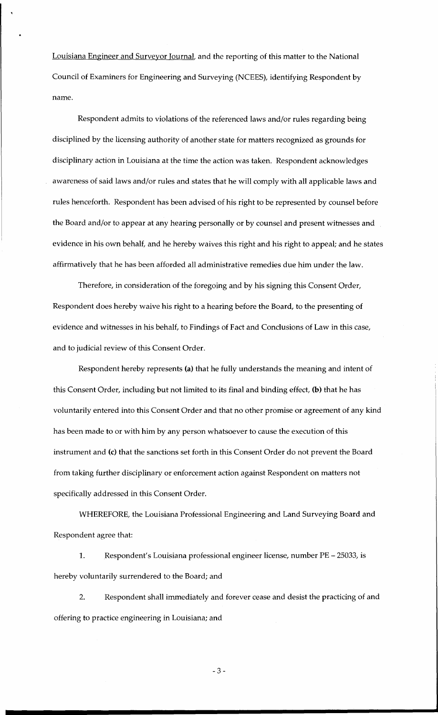Louisiana Engineer and Surveyor Journal, and the reporting of this matter to the National Council of Examiners for Engineering and Surveying (NCEES), identifying Respondent by name.

Respondent admits to violations of the referenced laws and/or rules regarding being disciplined by the licensing authority of another state for matters recognized as grounds for disciplinary action in Louisiana at the time the action was taken. Respondent acknowledges awareness of said laws and/or rules and states that he will comply with all applicable laws and rules henceforth. Respondent has been advised of his right to be represented by counsel before the Board and/or to appear at any hearing personally or by counsel and present witnesses and evidence in his own behalf, and he hereby waives this right and his right to appeal; and he states affirmatively that he has been afforded all administrative remedies due him under the law.

Therefore, in consideration of the foregoing and by his signing this Consent Order, Respondent does hereby waive his right to a hearing before the Board, to the presenting of evidence and witnesses in his behalf, to Findings of Fact and Conclusions of Law in this case, and to judicial review of this Consent Order.

Respondent hereby represents (a) that he fully understands the meaning and intent of this Consent Order, including but not limited to its final and binding effect, (b) that he has voluntarily entered into this Consent Order and that no other promise or agreement of any kind has been made to or with him by any person whatsoever to cause the execution of this instrument and (c) that the sanctions set forth in this Consent Order do not prevent the Board from taking further disciplinary or enforcement action against Respondent on matters not specifically addressed in this Consent Order.

WHEREFORE, the Louisiana Professional Engineering and Land Surveying Board and Respondent agree that:

1. Respondent's Louisiana professional engineer license, number PE - 25033, is hereby voluntarily surrendered to the Board; and

2. Respondent shall immediately and forever cease and desist the practicing of and offering to practice engineering in Louisiana; and

-3-